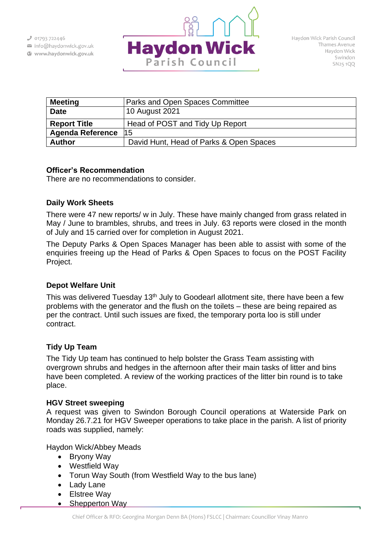info@haydonwick.gov.uk Www.haydonwick.gov.uk



| <b>Meeting</b>          | Parks and Open Spaces Committee         |
|-------------------------|-----------------------------------------|
| <b>Date</b>             | 10 August 2021                          |
| <b>Report Title</b>     | Head of POST and Tidy Up Report         |
| <b>Agenda Reference</b> | l15                                     |
| <b>Author</b>           | David Hunt, Head of Parks & Open Spaces |

### **Officer's Recommendation**

There are no recommendations to consider.

## **Daily Work Sheets**

There were 47 new reports/ w in July. These have mainly changed from grass related in May / June to brambles, shrubs, and trees in July. 63 reports were closed in the month of July and 15 carried over for completion in August 2021.

The Deputy Parks & Open Spaces Manager has been able to assist with some of the enquiries freeing up the Head of Parks & Open Spaces to focus on the POST Facility Project.

# **Depot Welfare Unit**

This was delivered Tuesday 13<sup>th</sup> July to Goodearl allotment site, there have been a few problems with the generator and the flush on the toilets – these are being repaired as per the contract. Until such issues are fixed, the temporary porta loo is still under contract.

# **Tidy Up Team**

The Tidy Up team has continued to help bolster the Grass Team assisting with overgrown shrubs and hedges in the afternoon after their main tasks of litter and bins have been completed. A review of the working practices of the litter bin round is to take place.

## **HGV Street sweeping**

A request was given to Swindon Borough Council operations at Waterside Park on Monday 26.7.21 for HGV Sweeper operations to take place in the parish. A list of priority roads was supplied, namely:

Haydon Wick/Abbey Meads

- Bryony Way
- Westfield Way
- Torun Way South (from Westfield Way to the bus lane)
- Lady Lane
- Elstree Way
- Shepperton Way